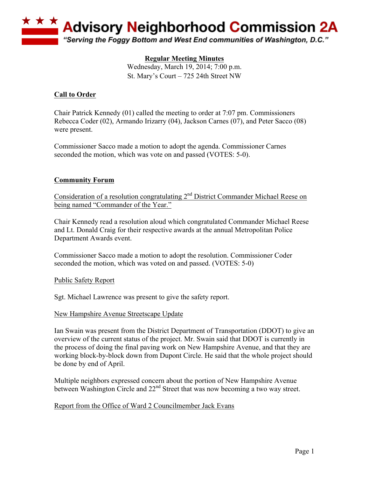

# **Regular Meeting Minutes**

Wednesday, March 19, 2014; 7:00 p.m. St. Mary's Court – 725 24th Street NW

# **Call to Order**

Chair Patrick Kennedy (01) called the meeting to order at 7:07 pm. Commissioners Rebecca Coder (02), Armando Irizarry (04), Jackson Carnes (07), and Peter Sacco (08) were present.

Commissioner Sacco made a motion to adopt the agenda. Commissioner Carnes seconded the motion, which was vote on and passed (VOTES: 5-0).

# **Community Forum**

Consideration of a resolution congratulating 2<sup>nd</sup> District Commander Michael Reese on being named "Commander of the Year."

Chair Kennedy read a resolution aloud which congratulated Commander Michael Reese and Lt. Donald Craig for their respective awards at the annual Metropolitan Police Department Awards event.

Commissioner Sacco made a motion to adopt the resolution. Commissioner Coder seconded the motion, which was voted on and passed. (VOTES: 5-0)

Public Safety Report

Sgt. Michael Lawrence was present to give the safety report.

New Hampshire Avenue Streetscape Update

Ian Swain was present from the District Department of Transportation (DDOT) to give an overview of the current status of the project. Mr. Swain said that DDOT is currently in the process of doing the final paving work on New Hampshire Avenue, and that they are working block-by-block down from Dupont Circle. He said that the whole project should be done by end of April.

Multiple neighbors expressed concern about the portion of New Hampshire Avenue between Washington Circle and  $22<sup>nd</sup>$  Street that was now becoming a two way street.

Report from the Office of Ward 2 Councilmember Jack Evans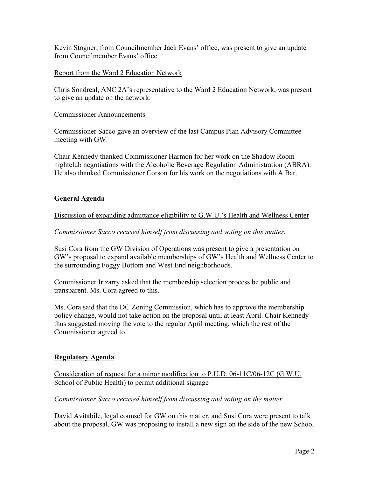Kevin Stogner, from Councilmember Jack Evans' office, was present to give an update from Councilmember Evans' office.

### Report from the Ward 2 Education Network

Chris Sondreal, ANC 2A's representative to the Ward 2 Education Network, was present to give an update on the network.

#### Commissioner Announcements

Commissioner Sacco gave an overview of the last Campus Plan Advisory Committee meeting with GW.

Chair Kennedy thanked Commissioner Harmon for her work on the Shadow Room nightclub negotiations with the Alcoholic Beverage Regulation Administration (ABRA). He also thanked Commissioner Corson for his work on the negotiations with A Bar.

### **General Agenda**

### Discussion of expanding admittance eligibility to G.W.U.'s Health and Wellness Center

#### *Commissioner Sacco recused himself from discussing and voting on this matter.*

Susi Cora from the GW Division of Operations was present to give a presentation on GW's proposal to expand available memberships of GW's Health and Wellness Center to the surrounding Foggy Bottom and West End neighborhoods.

Commissioner Irizarry asked that the membership selection process be public and transparent. Ms. Cora agreed to this.

Ms. Cora said that the DC Zoning Commission, which has to approve the membership policy change, would not take action on the proposal until at least April. Chair Kennedy thus suggested moving the vote to the regular April meeting, which the rest of the Commissioner agreed to.

#### **Regulatory Agenda**

# Consideration of request for a minor modification to P.U.D. 06-11C/06-12C (G.W.U. School of Public Health) to permit additional signage

#### *Commissioner Sacco recused himself from discussing and voting on the matter.*

David Avitabile, legal counsel for GW on this matter, and Susi Cora were present to talk about the proposal. GW was proposing to install a new sign on the side of the new School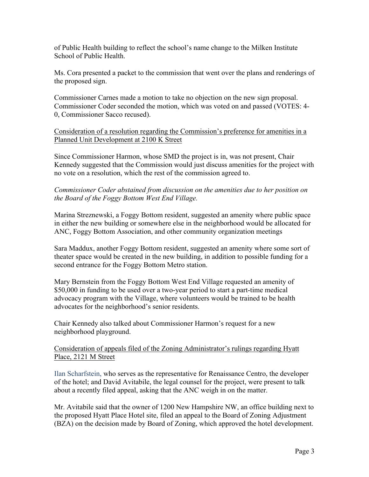of Public Health building to reflect the school's name change to the Milken Institute School of Public Health.

Ms. Cora presented a packet to the commission that went over the plans and renderings of the proposed sign.

Commissioner Carnes made a motion to take no objection on the new sign proposal. Commissioner Coder seconded the motion, which was voted on and passed (VOTES: 4- 0, Commissioner Sacco recused).

Consideration of a resolution regarding the Commission's preference for amenities in a Planned Unit Development at 2100 K Street

Since Commissioner Harmon, whose SMD the project is in, was not present, Chair Kennedy suggested that the Commission would just discuss amenities for the project with no vote on a resolution, which the rest of the commission agreed to.

*Commissioner Coder abstained from discussion on the amenities due to her position on the Board of the Foggy Bottom West End Village.*

Marina Streznewski, a Foggy Bottom resident, suggested an amenity where public space in either the new building or somewhere else in the neighborhood would be allocated for ANC, Foggy Bottom Association, and other community organization meetings

Sara Maddux, another Foggy Bottom resident, suggested an amenity where some sort of theater space would be created in the new building, in addition to possible funding for a second entrance for the Foggy Bottom Metro station.

Mary Bernstein from the Foggy Bottom West End Village requested an amenity of \$50,000 in funding to be used over a two-year period to start a part-time medical advocacy program with the Village, where volunteers would be trained to be health advocates for the neighborhood's senior residents.

Chair Kennedy also talked about Commissioner Harmon's request for a new neighborhood playground.

### Consideration of appeals filed of the Zoning Administrator's rulings regarding Hyatt Place, 2121 M Street

Ilan Scharfstein, who serves as the representative for Renaissance Centro, the developer of the hotel; and David Avitabile, the legal counsel for the project, were present to talk about a recently filed appeal, asking that the ANC weigh in on the matter.

Mr. Avitabile said that the owner of 1200 New Hampshire NW, an office building next to the proposed Hyatt Place Hotel site, filed an appeal to the Board of Zoning Adjustment (BZA) on the decision made by Board of Zoning, which approved the hotel development.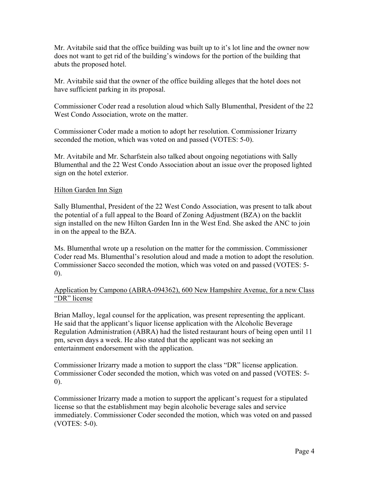Mr. Avitabile said that the office building was built up to it's lot line and the owner now does not want to get rid of the building's windows for the portion of the building that abuts the proposed hotel.

Mr. Avitabile said that the owner of the office building alleges that the hotel does not have sufficient parking in its proposal.

Commissioner Coder read a resolution aloud which Sally Blumenthal, President of the 22 West Condo Association, wrote on the matter.

Commissioner Coder made a motion to adopt her resolution. Commissioner Irizarry seconded the motion, which was voted on and passed (VOTES: 5-0).

Mr. Avitabile and Mr. Scharfstein also talked about ongoing negotiations with Sally Blumenthal and the 22 West Condo Association about an issue over the proposed lighted sign on the hotel exterior.

#### Hilton Garden Inn Sign

Sally Blumenthal, President of the 22 West Condo Association, was present to talk about the potential of a full appeal to the Board of Zoning Adjustment (BZA) on the backlit sign installed on the new Hilton Garden Inn in the West End. She asked the ANC to join in on the appeal to the BZA.

Ms. Blumenthal wrote up a resolution on the matter for the commission. Commissioner Coder read Ms. Blumenthal's resolution aloud and made a motion to adopt the resolution. Commissioner Sacco seconded the motion, which was voted on and passed (VOTES: 5- 0).

# Application by Campono (ABRA-094362), 600 New Hampshire Avenue, for a new Class "DR" license

Brian Malloy, legal counsel for the application, was present representing the applicant. He said that the applicant's liquor license application with the Alcoholic Beverage Regulation Administration (ABRA) had the listed restaurant hours of being open until 11 pm, seven days a week. He also stated that the applicant was not seeking an entertainment endorsement with the application.

Commissioner Irizarry made a motion to support the class "DR" license application. Commissioner Coder seconded the motion, which was voted on and passed (VOTES: 5- 0).

Commissioner Irizarry made a motion to support the applicant's request for a stipulated license so that the establishment may begin alcoholic beverage sales and service immediately. Commissioner Coder seconded the motion, which was voted on and passed (VOTES: 5-0).